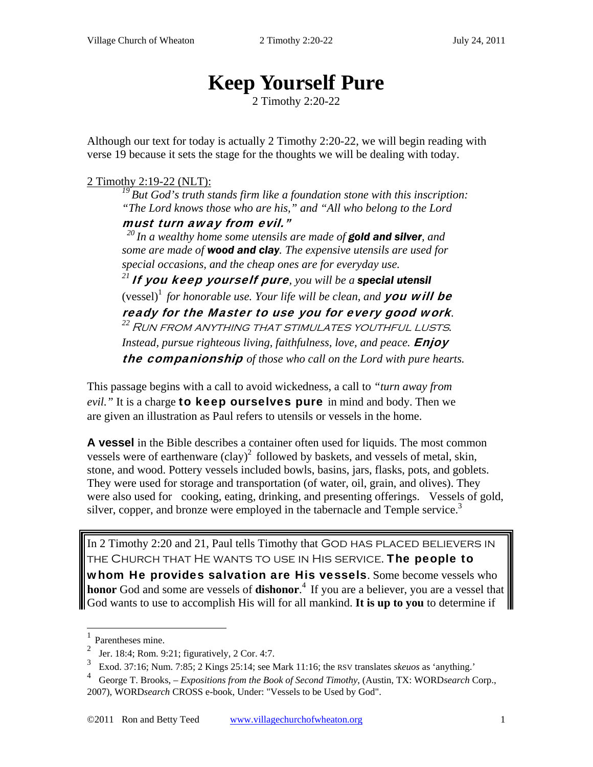# **Keep Yourself Pure**

2 Timothy 2:20-22

Although our text for today is actually 2 Timothy 2:20-22, we will begin reading with verse 19 because it sets the stage for the thoughts we will be dealing with today.

#### 2 Timothy 2:19-22 (NLT):

*19 But God's truth stands firm like a foundation stone with this inscription: "The Lord knows those who are his," and "All who belong to the Lord* 

must turn away from evil."

*20 In a wealthy home some utensils are made of gold and silver, and some are made of wood and clay. The expensive utensils are used for special occasions, and the cheap ones are for everyday use.* 

*<sup>21</sup>*If you keep yourself pure*, you will be a special utensil*  (vessel)<sup>1</sup> for honorable use. Your life will be clean, and **you will be ready for the Master to use you for every good work.** <sup>22</sup> RUN FROM ANYTHING THAT STIMULATES YOUTHFUL LUSTS. *Instead, pursue righteous living, faithfulness, love, and peace.* **Enjoy** the companionship *of those who call on the Lord with pure hearts.* 

This passage begins with a call to avoid wickedness, a call to *"turn away from*  evil." It is a charge **to keep ourselves pure** in mind and body. Then we are given an illustration as Paul refers to utensils or vessels in the home.

**A vessel** in the Bible describes a container often used for liquids. The most common vessels were of earthenware  $\left(\text{clay}\right)^2$  followed by baskets, and vessels of metal, skin, stone, and wood. Pottery vessels included bowls, basins, jars, flasks, pots, and goblets. They were used for storage and transportation (of water, oil, grain, and olives). They were also used for cooking, eating, drinking, and presenting offerings. Vessels of gold, silver, copper, and bronze were employed in the tabernacle and Temple service.<sup>3</sup>

In 2 Timothy 2:20 and 21, Paul tells Timothy that GOD HAS PLACED BELIEVERS IN THE CHURCH THAT HE WANTS TO USE IN HIS SERVICE. The people to whom He provides salvation are His vessels. Some become vessels who **honor** God and some are vessels of **dishonor**. 4 If you are a believer, you are a vessel that God wants to use to accomplish His will for all mankind. **It is up to you** to determine if

 $\overline{a}$ 

<sup>1</sup> Parentheses mine.

<sup>2</sup> Jer. 18:4; Rom. 9:21; figuratively, 2 Cor. 4:7.

<sup>3</sup> Exod. 37:16; Num. 7:85; 2 Kings 25:14; see Mark 11:16; the RSV translates *skeuos* as 'anything.'

<sup>4</sup> George T. Brooks, *– Expositions from the Book of Second Timothy*, (Austin, TX: WORD*search* Corp., 2007), WORD*search* CROSS e-book, Under: "Vessels to be Used by God".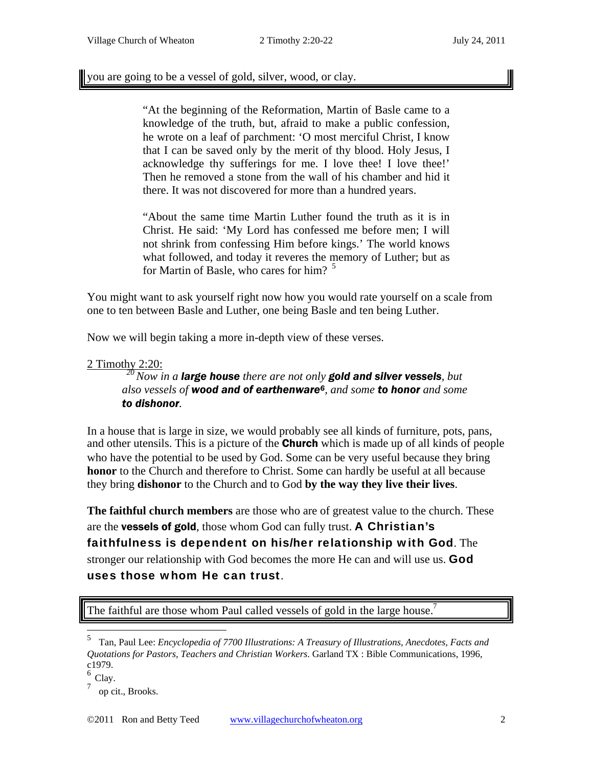you are going to be a vessel of gold, silver, wood, or clay.

"At the beginning of the Reformation, Martin of Basle came to a knowledge of the truth, but, afraid to make a public confession, he wrote on a leaf of parchment: 'O most merciful Christ, I know that I can be saved only by the merit of thy blood. Holy Jesus, I acknowledge thy sufferings for me. I love thee! I love thee!' Then he removed a stone from the wall of his chamber and hid it there. It was not discovered for more than a hundred years.

"About the same time Martin Luther found the truth as it is in Christ. He said: 'My Lord has confessed me before men; I will not shrink from confessing Him before kings.' The world knows what followed, and today it reveres the memory of Luther; but as for Martin of Basle, who cares for him?<sup>5</sup>

You might want to ask yourself right now how you would rate yourself on a scale from one to ten between Basle and Luther, one being Basle and ten being Luther.

Now we will begin taking a more in-depth view of these verses.

2 Timothy 2:20: *20 Now in a large house there are not only gold and silver vessels, but also vessels of wood and of earthenware6, and some to honor and some to dishonor.* 

In a house that is large in size, we would probably see all kinds of furniture, pots, pans, and other utensils. This is a picture of the **Church** which is made up of all kinds of people who have the potential to be used by God. Some can be very useful because they bring **honor** to the Church and therefore to Christ. Some can hardly be useful at all because they bring **dishonor** to the Church and to God **by the way they live their lives**.

**The faithful church members** are those who are of greatest value to the church. These are the vessels of gold, those whom God can fully trust. A Christian's faithfulness is dependent on his/her relationship with God. The stronger our relationship with God becomes the more He can and will use us. God uses those whom He can trust.

The faithful are those whom Paul called vessels of gold in the large house.<sup>7</sup>

 5 Tan, Paul Lee: *Encyclopedia of 7700 Illustrations: A Treasury of Illustrations, Anecdotes, Facts and Quotations for Pastors, Teachers and Christian Workers*. Garland TX : Bible Communications, 1996, c1979.

<sup>&</sup>lt;sup>6</sup> Clay.

<sup>7</sup> op cit., Brooks.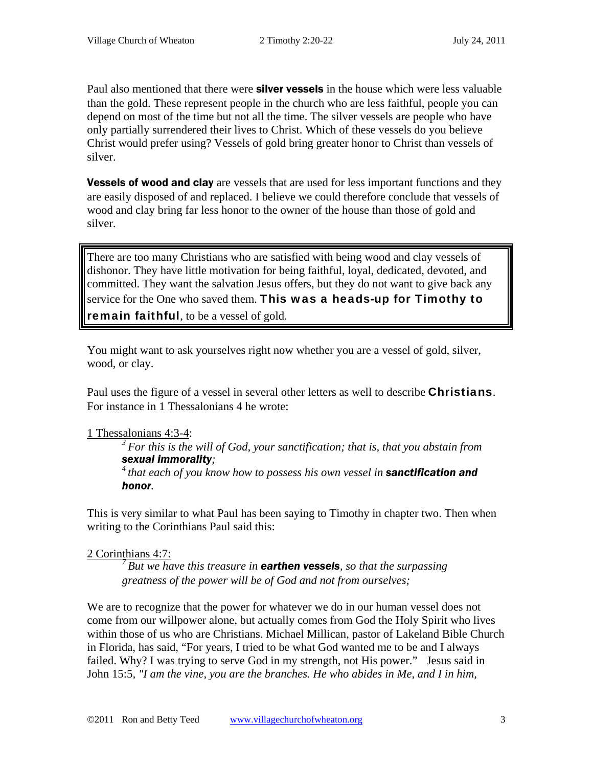Paul also mentioned that there were **silver vessels** in the house which were less valuable than the gold. These represent people in the church who are less faithful, people you can depend on most of the time but not all the time. The silver vessels are people who have only partially surrendered their lives to Christ. Which of these vessels do you believe Christ would prefer using? Vessels of gold bring greater honor to Christ than vessels of silver.

**Vessels of wood and clay** are vessels that are used for less important functions and they are easily disposed of and replaced. I believe we could therefore conclude that vessels of wood and clay bring far less honor to the owner of the house than those of gold and silver.

There are too many Christians who are satisfied with being wood and clay vessels of dishonor. They have little motivation for being faithful, loyal, dedicated, devoted, and committed. They want the salvation Jesus offers, but they do not want to give back any service for the One who saved them. This was a heads-up for Timothy to remain faithful, to be a vessel of gold.

You might want to ask yourselves right now whether you are a vessel of gold, silver, wood, or clay.

Paul uses the figure of a vessel in several other letters as well to describe **Christians**. For instance in 1 Thessalonians 4 he wrote:

1 Thessalonians 4:3-4:

*3 For this is the will of God, your sanctification; that is, that you abstain from sexual immorality;* 

*4 that each of you know how to possess his own vessel in sanctification and honor.* 

This is very similar to what Paul has been saying to Timothy in chapter two. Then when writing to the Corinthians Paul said this:

#### 2 Corinthians 4:7:

*7 But we have this treasure in earthen vessels, so that the surpassing greatness of the power will be of God and not from ourselves;* 

We are to recognize that the power for whatever we do in our human vessel does not come from our willpower alone, but actually comes from God the Holy Spirit who lives within those of us who are Christians. Michael Millican, pastor of Lakeland Bible Church in Florida, has said, "For years, I tried to be what God wanted me to be and I always failed. Why? I was trying to serve God in my strength, not His power." Jesus said in John 15:5*, "I am the vine, you are the branches. He who abides in Me, and I in him,*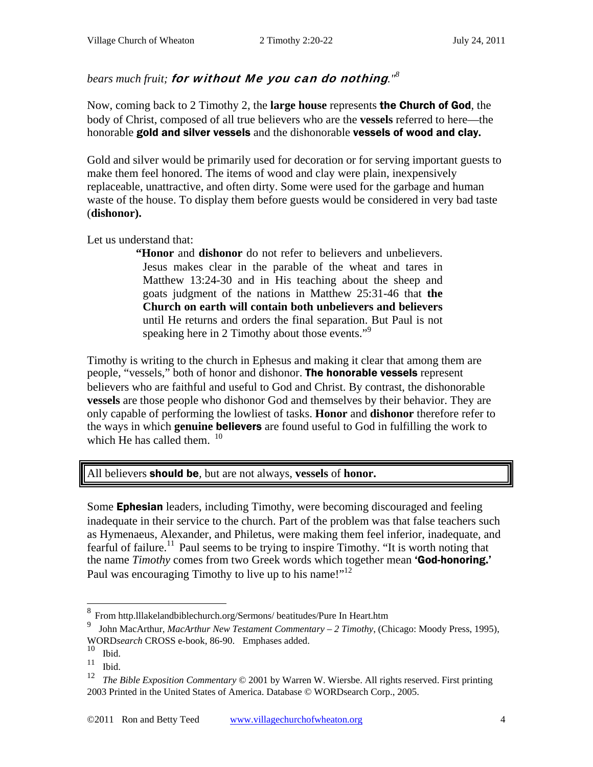### *bears much fruit;* for without Me you can do nothing*."8*

Now, coming back to 2 Timothy 2, the **large house** represents the Church of God, the body of Christ, composed of all true believers who are the **vessels** referred to here—the honorable gold and silver vessels and the dishonorable vessels of wood and clay**.** 

Gold and silver would be primarily used for decoration or for serving important guests to make them feel honored. The items of wood and clay were plain, inexpensively replaceable, unattractive, and often dirty. Some were used for the garbage and human waste of the house. To display them before guests would be considered in very bad taste (**dishonor).** 

Let us understand that:

**"Honor** and **dishonor** do not refer to believers and unbelievers. Jesus makes clear in the parable of the wheat and tares in Matthew 13:24-30 and in His teaching about the sheep and goats judgment of the nations in Matthew 25:31-46 that **the Church on earth will contain both unbelievers and believers**  until He returns and orders the final separation. But Paul is not speaking here in 2 Timothy about those events."<sup>9</sup>

Timothy is writing to the church in Ephesus and making it clear that among them are people, "vessels," both of honor and dishonor. The honorable vessels represent believers who are faithful and useful to God and Christ. By contrast, the dishonorable **vessels** are those people who dishonor God and themselves by their behavior. They are only capable of performing the lowliest of tasks. **Honor** and **dishonor** therefore refer to the ways in which **genuine** believers are found useful to God in fulfilling the work to which He has called them.  $10$ 

#### All believers should be*,* but are not always, **vessels** of **honor.**

Some Ephesian leaders, including Timothy, were becoming discouraged and feeling inadequate in their service to the church. Part of the problem was that false teachers such as Hymenaeus, Alexander, and Philetus, were making them feel inferior, inadequate, and fearful of failure.<sup>11</sup> Paul seems to be trying to inspire Timothy. "It is worth noting that the name *Timothy* comes from two Greek words which together mean 'God-honoring.' Paul was encouraging Timothy to live up to his name!"<sup>12</sup>

 8 From http.lllakelandbiblechurch.org/Sermons/ beatitudes/Pure In Heart.htm

<sup>9</sup> John MacArthur, *MacArthur New Testament Commentary – 2 Timothy*, (Chicago: Moody Press, 1995), WORD*search* CROSS e-book, 86-90. Emphases added.

 $\begin{bmatrix} 10 \\ 11 \\ \text{II} \end{bmatrix}$  Ibid.

 $\frac{11}{12}$  Ibid.

<sup>12</sup> *The Bible Exposition Commentary* © 2001 by Warren W. Wiersbe. All rights reserved. First printing 2003 Printed in the United States of America. Database © WORDsearch Corp., 2005.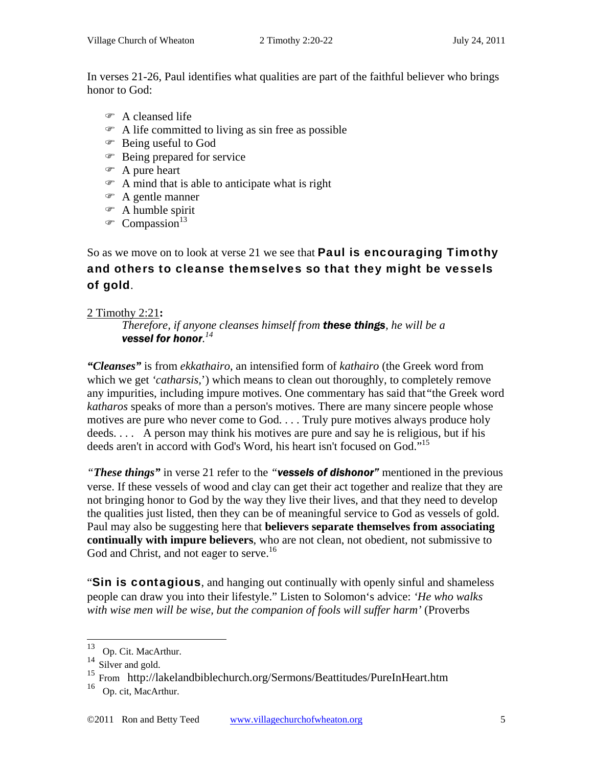In verses 21-26, Paul identifies what qualities are part of the faithful believer who brings honor to God:

- A cleansed life
- $\infty$  A life committed to living as sin free as possible
- Being useful to God
- Being prepared for service
- A pure heart
- A mind that is able to anticipate what is right
- A gentle manner
- A humble spirit
- $\infty$  Compassion<sup>13</sup>

## So as we move on to look at verse 21 we see that **Paul is encouraging Timothy** and others to cleanse themselves so that they might be vessels of gold.

#### 2 Timothy 2:21**:**

*Therefore, if anyone cleanses himself from these things, he will be a vessel for honor. 14*

*"Cleanses"* is from *ekkathairo*, an intensified form of *kathairo* (the Greek word from which we get *'catharsis,*') which means to clean out thoroughly, to completely remove any impurities, including impure motives. One commentary has said that*"*the Greek word *katharos* speaks of more than a person's motives. There are many sincere people whose motives are pure who never come to God. . . . Truly pure motives always produce holy deeds. . . . A person may think his motives are pure and say he is religious, but if his deeds aren't in accord with God's Word, his heart isn't focused on God."<sup>15</sup>

*"These things"* in verse 21 refer to the *"vessels of dishonor"* mentioned in the previous verse. If these vessels of wood and clay can get their act together and realize that they are not bringing honor to God by the way they live their lives, and that they need to develop the qualities just listed, then they can be of meaningful service to God as vessels of gold. Paul may also be suggesting here that **believers separate themselves from associating continually with impure believers**, who are not clean, not obedient, not submissive to God and Christ, and not eager to serve.<sup>16</sup>

"Sin is contagious, and hanging out continually with openly sinful and shameless people can draw you into their lifestyle." Listen to Solomon's advice: *'He who walks with wise men will be wise, but the companion of fools will suffer harm'* (Proverbs

 $\overline{a}$ 

<sup>&</sup>lt;sup>13</sup> Op. Cit. MacArthur.

<sup>&</sup>lt;sup>14</sup> Silver and gold.

<sup>15</sup> From http://lakelandbiblechurch.org/Sermons/Beattitudes/PureInHeart.htm

<sup>&</sup>lt;sup>16</sup> Op. cit, MacArthur.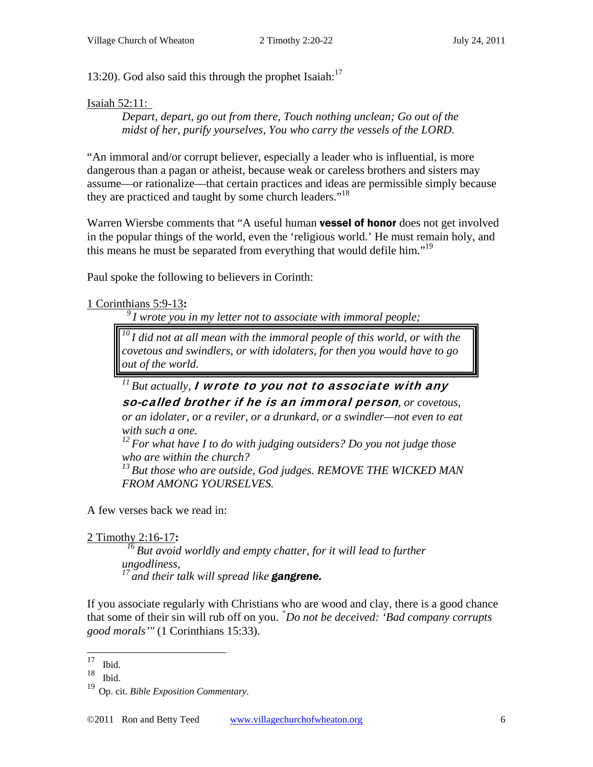13:20). God also said this through the prophet Isaiah: $17$ 

#### Isaiah 52:11:

*Depart, depart, go out from there, Touch nothing unclean; Go out of the midst of her, purify yourselves, You who carry the vessels of the LORD.* 

"An immoral and/or corrupt believer, especially a leader who is influential, is more dangerous than a pagan or atheist, because weak or careless brothers and sisters may assume—or rationalize—that certain practices and ideas are permissible simply because they are practiced and taught by some church leaders."<sup>18</sup>

Warren Wiersbe comments that "A useful human **vessel of honor** does not get involved in the popular things of the world, even the 'religious world.' He must remain holy, and this means he must be separated from everything that would defile him."<sup>19</sup>

Paul spoke the following to believers in Corinth:

```
1 Corinthians 5:9-13:
```
*9 I wrote you in my letter not to associate with immoral people;* 

*10 I did not at all mean with the immoral people of this world, or with the covetous and swindlers, or with idolaters, for then you would have to go out of the world.* 

# *11 But actually,* I wrote to you not to associate with any

so-called brother if he is an immoral person*, or covetous, or an idolater, or a reviler, or a drunkard, or a swindler—not even to eat with such a one.* 

*12 For what have I to do with judging outsiders? Do you not judge those who are within the church?* 

<sup>13</sup> But those who are outside, God judges. REMOVE THE WICKED MAN *FROM AMONG YOURSELVES.* 

A few verses back we read in:

#### 2 Timothy 2:16-17**:**

*16 But avoid worldly and empty chatter, for it will lead to further ungodliness, 17 and their talk will spread like gangrene.* 

If you associate regularly with Christians who are wood and clay, there is a good chance that some of their sin will rub off on you. *" Do not be deceived: 'Bad company corrupts good morals'"* (1 Corinthians 15:33).

<sup>17</sup>  $\frac{17}{18}$  Ibid.

Ibid.

<sup>19</sup> Op. cit. *Bible Exposition Commentary.*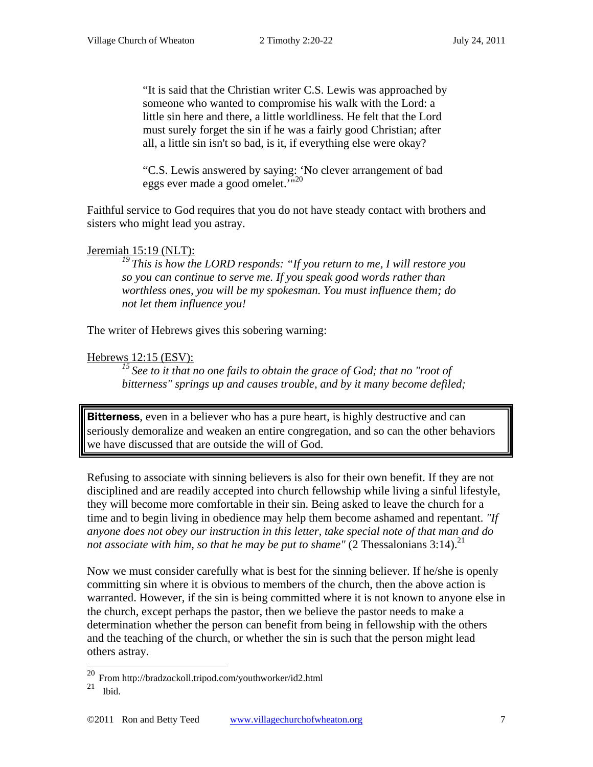"It is said that the Christian writer C.S. Lewis was approached by someone who wanted to compromise his walk with the Lord: a little sin here and there, a little worldliness. He felt that the Lord must surely forget the sin if he was a fairly good Christian; after all, a little sin isn't so bad, is it, if everything else were okay?

"C.S. Lewis answered by saying: 'No clever arrangement of bad eggs ever made a good omelet.'"<sup>20</sup>

Faithful service to God requires that you do not have steady contact with brothers and sisters who might lead you astray.

#### Jeremiah 15:19 (NLT):

*19 This is how the LORD responds: "If you return to me, I will restore you so you can continue to serve me. If you speak good words rather than worthless ones, you will be my spokesman. You must influence them; do not let them influence you!* 

The writer of Hebrews gives this sobering warning:

#### Hebrews 12:15 (ESV):

<sup>15</sup> See to it that no one fails to obtain the grace of God; that no "root of *bitterness" springs up and causes trouble, and by it many become defiled;* 

**Bitterness**, even in a believer who has a pure heart, is highly destructive and can seriously demoralize and weaken an entire congregation, and so can the other behaviors we have discussed that are outside the will of God.

Refusing to associate with sinning believers is also for their own benefit. If they are not disciplined and are readily accepted into church fellowship while living a sinful lifestyle, they will become more comfortable in their sin. Being asked to leave the church for a time and to begin living in obedience may help them become ashamed and repentant. *"If anyone does not obey our instruction in this letter, take special note of that man and do not associate with him, so that he may be put to shame"* (2 Thessalonians  $3:14$ ).<sup>21</sup>

Now we must consider carefully what is best for the sinning believer. If he/she is openly committing sin where it is obvious to members of the church, then the above action is warranted. However, if the sin is being committed where it is not known to anyone else in the church, except perhaps the pastor, then we believe the pastor needs to make a determination whether the person can benefit from being in fellowship with the others and the teaching of the church, or whether the sin is such that the person might lead others astray.

 $\overline{a}$ 

 $^{20}$  From http://bradzockoll.tripod.com/youthworker/id2.html

 $21$  Ibid.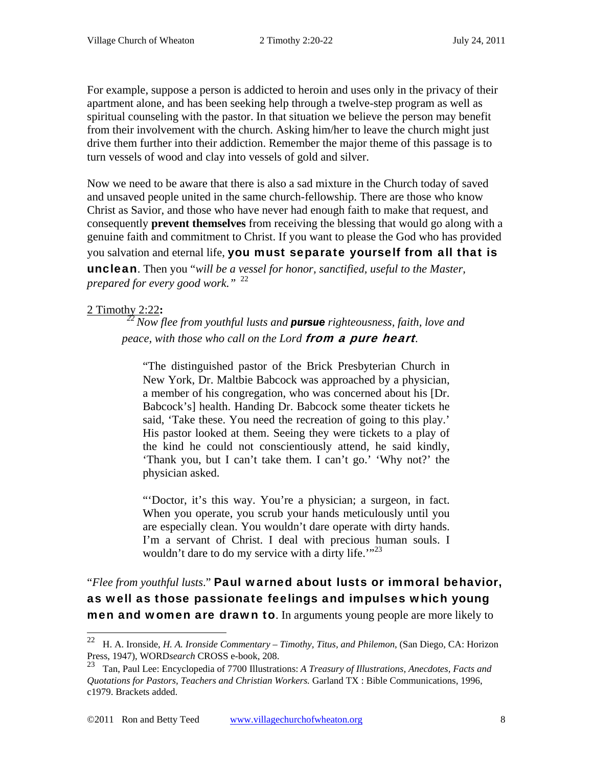For example, suppose a person is addicted to heroin and uses only in the privacy of their apartment alone, and has been seeking help through a twelve-step program as well as spiritual counseling with the pastor. In that situation we believe the person may benefit from their involvement with the church. Asking him/her to leave the church might just drive them further into their addiction. Remember the major theme of this passage is to turn vessels of wood and clay into vessels of gold and silver.

Now we need to be aware that there is also a sad mixture in the Church today of saved and unsaved people united in the same church-fellowship. There are those who know Christ as Savior, and those who have never had enough faith to make that request, and consequently **prevent themselves** from receiving the blessing that would go along with a genuine faith and commitment to Christ. If you want to please the God who has provided you salvation and eternal life, you must separate yourself from all that is

unclean. Then you "*will be a vessel for honor, sanctified, useful to the Master, prepared for every good work."* <sup>22</sup>

#### 2 Timothy 2:22**:**

 $\overline{a}$ 

*22 Now flee from youthful lusts and pursue righteousness, faith, love and peace, with those who call on the Lord* from a pure heart*.* 

"The distinguished pastor of the Brick Presbyterian Church in New York, Dr. Maltbie Babcock was approached by a physician, a member of his congregation, who was concerned about his [Dr. Babcock's] health. Handing Dr. Babcock some theater tickets he said, 'Take these. You need the recreation of going to this play.' His pastor looked at them. Seeing they were tickets to a play of the kind he could not conscientiously attend, he said kindly, 'Thank you, but I can't take them. I can't go.' 'Why not?' the physician asked.

"'Doctor, it's this way. You're a physician; a surgeon, in fact. When you operate, you scrub your hands meticulously until you are especially clean. You wouldn't dare operate with dirty hands. I'm a servant of Christ. I deal with precious human souls. I wouldn't dare to do my service with a dirty life. $12<sup>23</sup>$ 

"*Flee from youthful lusts*." Paul warned about lusts or immoral behavior, as well as those passionate feelings and impulses which young men and women are drawn to. In arguments young people are more likely to

<sup>22</sup> H. A. Ironside, *H. A. Ironside Commentary – Timothy, Titus, and Philemon*, (San Diego, CA: Horizon Press, 1947), WORD*search* CROSS e-book, 208.

<sup>23</sup> Tan, Paul Lee: Encyclopedia of 7700 Illustrations: *A Treasury of Illustrations, Anecdotes, Facts and Quotations for Pastors, Teachers and Christian Workers.* Garland TX : Bible Communications, 1996, c1979. Brackets added.